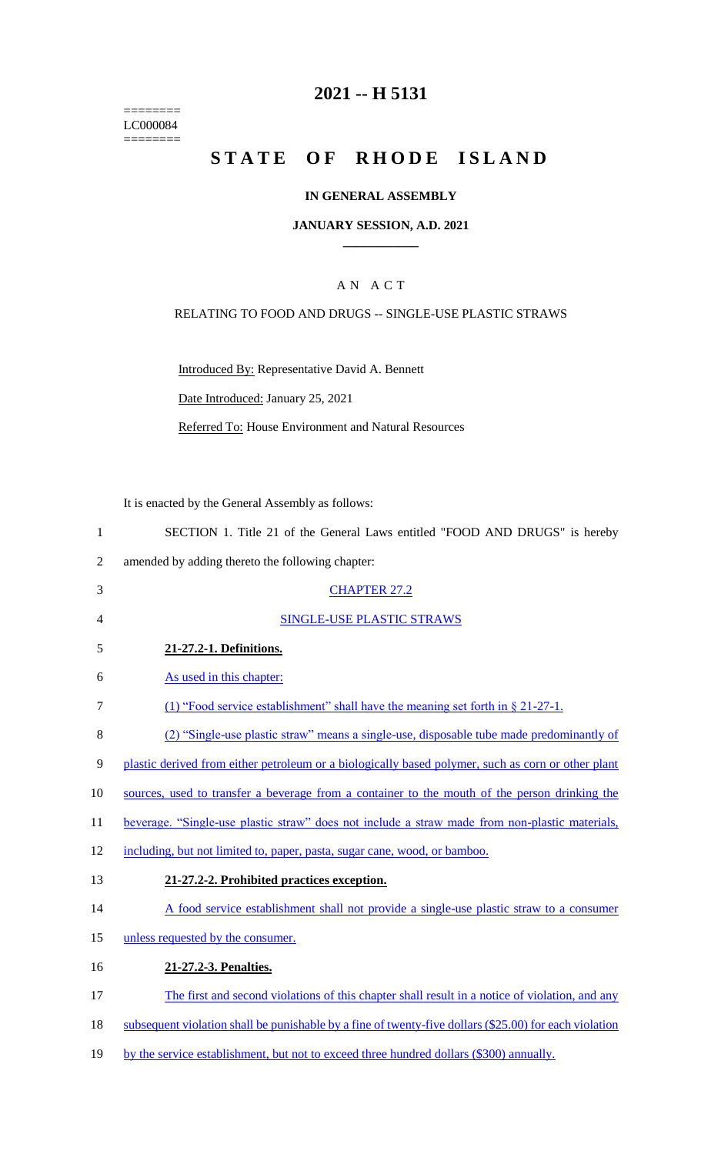======== LC000084 ========

# **2021 -- H 5131**

# **STATE OF RHODE ISLAND**

### **IN GENERAL ASSEMBLY**

### **JANUARY SESSION, A.D. 2021 \_\_\_\_\_\_\_\_\_\_\_\_**

## A N A C T

### RELATING TO FOOD AND DRUGS -- SINGLE-USE PLASTIC STRAWS

Introduced By: Representative David A. Bennett

Date Introduced: January 25, 2021

Referred To: House Environment and Natural Resources

It is enacted by the General Assembly as follows:

|  | SECTION 1. Title 21 of the General Laws entitled "FOOD AND DRUGS" is hereby |  |  |  |  |  |  |  |  |
|--|-----------------------------------------------------------------------------|--|--|--|--|--|--|--|--|
|--|-----------------------------------------------------------------------------|--|--|--|--|--|--|--|--|

- 2 amended by adding thereto the following chapter:
- 3 CHAPTER 27.2 4 SINGLE-USE PLASTIC STRAWS 5 **21-27.2-1. Definitions.** 6 As used in this chapter: 7 (1) "Food service establishment" shall have the meaning set forth in § 21-27-1. 8 (2) "Single-use plastic straw" means a single-use, disposable tube made predominantly of 9 plastic derived from either petroleum or a biologically based polymer, such as corn or other plant 10 sources, used to transfer a beverage from a container to the mouth of the person drinking the 11 beverage. "Single-use plastic straw" does not include a straw made from non-plastic materials, 12 including, but not limited to, paper, pasta, sugar cane, wood, or bamboo. 13 **21-27.2-2. Prohibited practices exception.** 14 A food service establishment shall not provide a single-use plastic straw to a consumer 15 unless requested by the consumer. 16 **21-27.2-3. Penalties.**
- 17 The first and second violations of this chapter shall result in a notice of violation, and any
- 18 subsequent violation shall be punishable by a fine of twenty-five dollars (\$25.00) for each violation
- 19 by the service establishment, but not to exceed three hundred dollars (\$300) annually.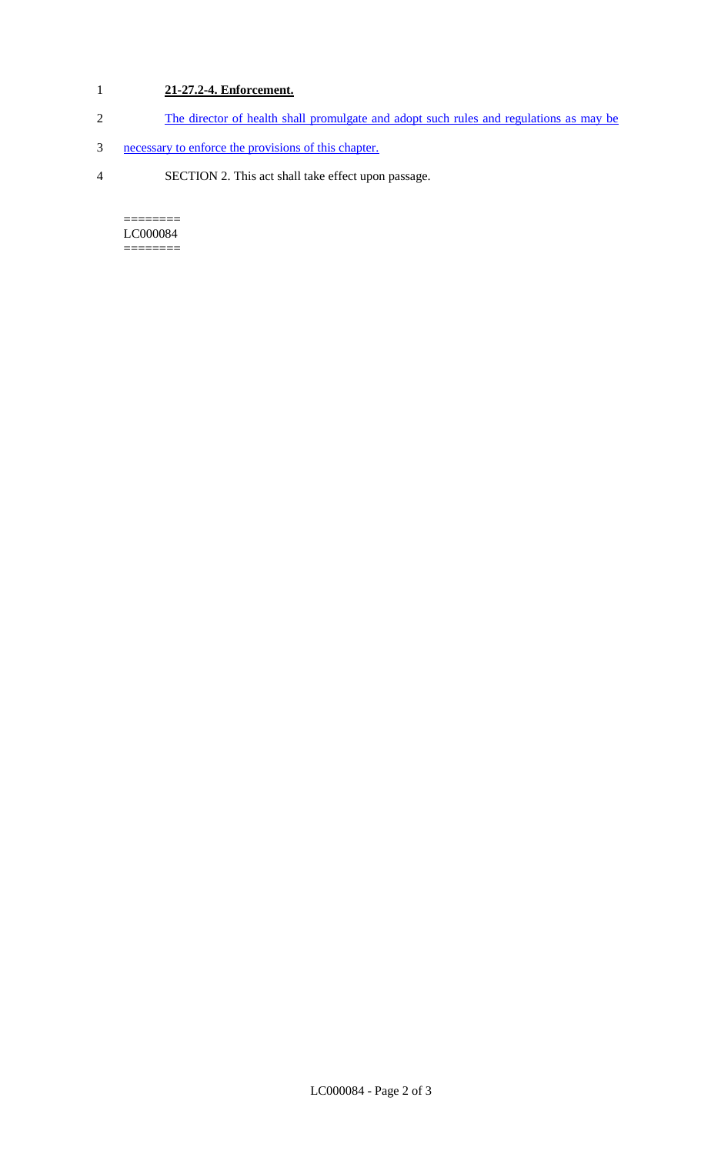# 1 **21-27.2-4. Enforcement.**

- 2 The director of health shall promulgate and adopt such rules and regulations as may be
- 3 necessary to enforce the provisions of this chapter.
- 4 SECTION 2. This act shall take effect upon passage.

======== LC000084 ========